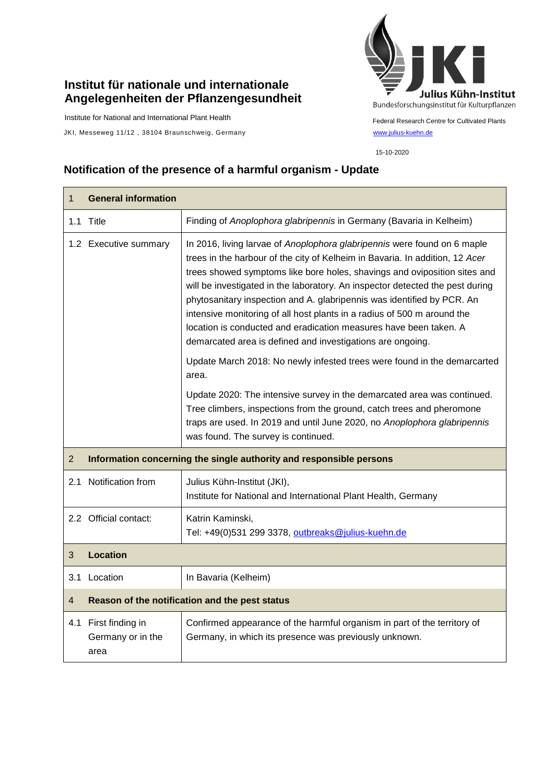## **Institut für nationale und internationale Angelegenheiten der Pflanzengesundheit**

Institute for National and International Plant Health

JKI, Messeweg 11/12, 38104 Braunschweig, Germany [www.julius-kuehn.de](http://www.julius-kuehn.de/)



15-10-2020

## **Notification of the presence of a harmful organism - Update**

| 1              | <b>General information</b>                                          |                                                                                                                                                                                                                                                                                                                                                                                                                                                                                                                                                                                                                |  |
|----------------|---------------------------------------------------------------------|----------------------------------------------------------------------------------------------------------------------------------------------------------------------------------------------------------------------------------------------------------------------------------------------------------------------------------------------------------------------------------------------------------------------------------------------------------------------------------------------------------------------------------------------------------------------------------------------------------------|--|
|                | 1.1 Title                                                           | Finding of Anoplophora glabripennis in Germany (Bavaria in Kelheim)                                                                                                                                                                                                                                                                                                                                                                                                                                                                                                                                            |  |
|                | 1.2 Executive summary                                               | In 2016, living larvae of Anoplophora glabripennis were found on 6 maple<br>trees in the harbour of the city of Kelheim in Bavaria. In addition, 12 Acer<br>trees showed symptoms like bore holes, shavings and oviposition sites and<br>will be investigated in the laboratory. An inspector detected the pest during<br>phytosanitary inspection and A. glabripennis was identified by PCR. An<br>intensive monitoring of all host plants in a radius of 500 m around the<br>location is conducted and eradication measures have been taken. A<br>demarcated area is defined and investigations are ongoing. |  |
|                |                                                                     | Update March 2018: No newly infested trees were found in the demarcarted<br>area.                                                                                                                                                                                                                                                                                                                                                                                                                                                                                                                              |  |
|                |                                                                     | Update 2020: The intensive survey in the demarcated area was continued.<br>Tree climbers, inspections from the ground, catch trees and pheromone<br>traps are used. In 2019 and until June 2020, no Anoplophora glabripennis<br>was found. The survey is continued.                                                                                                                                                                                                                                                                                                                                            |  |
| $\overline{2}$ | Information concerning the single authority and responsible persons |                                                                                                                                                                                                                                                                                                                                                                                                                                                                                                                                                                                                                |  |
| 2.1            | Notification from                                                   | Julius Kühn-Institut (JKI),<br>Institute for National and International Plant Health, Germany                                                                                                                                                                                                                                                                                                                                                                                                                                                                                                                  |  |
|                | 2.2 Official contact:                                               | Katrin Kaminski,<br>Tel: +49(0)531 299 3378, outbreaks@julius-kuehn.de                                                                                                                                                                                                                                                                                                                                                                                                                                                                                                                                         |  |
| 3              | <b>Location</b>                                                     |                                                                                                                                                                                                                                                                                                                                                                                                                                                                                                                                                                                                                |  |
| 3.1            | Location                                                            | In Bavaria (Kelheim)                                                                                                                                                                                                                                                                                                                                                                                                                                                                                                                                                                                           |  |
| $\overline{4}$ | Reason of the notification and the pest status                      |                                                                                                                                                                                                                                                                                                                                                                                                                                                                                                                                                                                                                |  |
|                | 4.1 First finding in<br>Germany or in the<br>area                   | Confirmed appearance of the harmful organism in part of the territory of<br>Germany, in which its presence was previously unknown.                                                                                                                                                                                                                                                                                                                                                                                                                                                                             |  |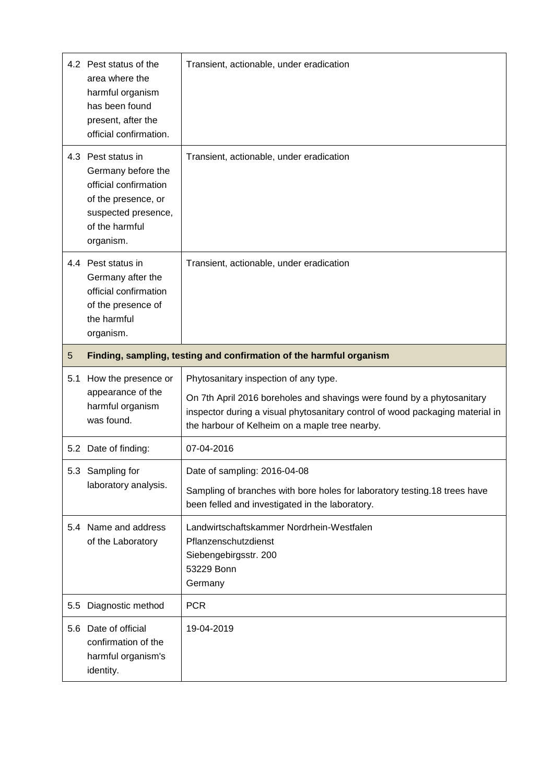|     | 4.2 Pest status of the<br>area where the<br>harmful organism<br>has been found<br>present, after the<br>official confirmation.                 | Transient, actionable, under eradication                                                                                                                                                                                                           |  |
|-----|------------------------------------------------------------------------------------------------------------------------------------------------|----------------------------------------------------------------------------------------------------------------------------------------------------------------------------------------------------------------------------------------------------|--|
|     | 4.3 Pest status in<br>Germany before the<br>official confirmation<br>of the presence, or<br>suspected presence,<br>of the harmful<br>organism. | Transient, actionable, under eradication                                                                                                                                                                                                           |  |
|     | 4.4 Pest status in<br>Germany after the<br>official confirmation<br>of the presence of<br>the harmful<br>organism.                             | Transient, actionable, under eradication                                                                                                                                                                                                           |  |
| 5   | Finding, sampling, testing and confirmation of the harmful organism                                                                            |                                                                                                                                                                                                                                                    |  |
|     |                                                                                                                                                |                                                                                                                                                                                                                                                    |  |
| 5.1 | How the presence or<br>appearance of the<br>harmful organism<br>was found.                                                                     | Phytosanitary inspection of any type.<br>On 7th April 2016 boreholes and shavings were found by a phytosanitary<br>inspector during a visual phytosanitary control of wood packaging material in<br>the harbour of Kelheim on a maple tree nearby. |  |
|     | 5.2 Date of finding:                                                                                                                           | 07-04-2016                                                                                                                                                                                                                                         |  |
|     | 5.3 Sampling for<br>laboratory analysis.                                                                                                       | Date of sampling: 2016-04-08<br>Sampling of branches with bore holes for laboratory testing. 18 trees have<br>been felled and investigated in the laboratory.                                                                                      |  |
| 5.4 | Name and address<br>of the Laboratory                                                                                                          | Landwirtschaftskammer Nordrhein-Westfalen<br>Pflanzenschutzdienst<br>Siebengebirgsstr. 200<br>53229 Bonn<br>Germany                                                                                                                                |  |
| 5.5 | Diagnostic method                                                                                                                              | <b>PCR</b>                                                                                                                                                                                                                                         |  |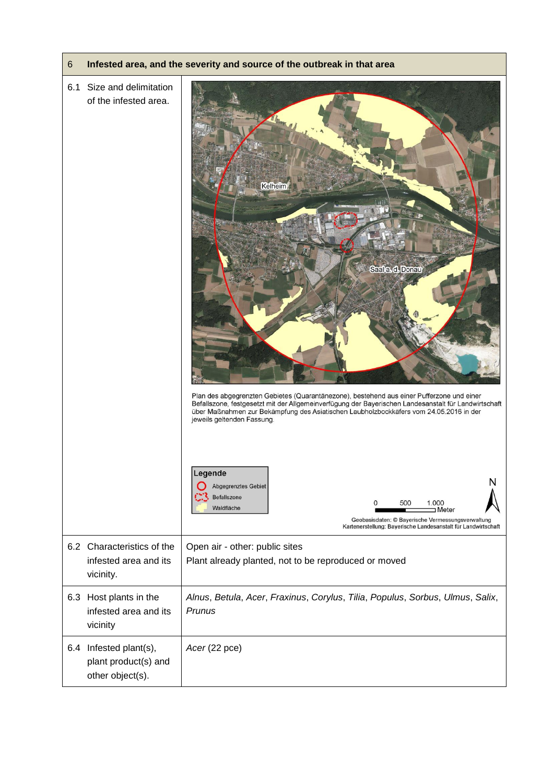## 6 **Infested area, and the severity and source of the outbreak in that area**

## 6.1 Size and delimitation of the infested area. Kelheim Saal a. d. Donau Plan des abgegrenzten Gebietes (Quarantänezone), bestehend aus einer Pufferzone und einer Befallszone, festgesetzt mit der Allgemeinverfügung der Bayerischen Landesanstalt für Landwirtschaft über Maßnahmen zur Bekämpfung des Asiatischen Laubholzbockkäfers vom 24.05.2016 in der jeweils geltenden Fassung. Legende N Abgegrenztes Gebiet Befallszone 500 1.000 Waldfläche I Meter Geobasisdaten: © Baverische Vermessungsverwaltung Kartenerstellung: Bayerische Landesanstalt für Landwirtschaft 6.2 Characteristics of the Open air - other: public sites infested area and its Plant already planted, not to be reproduced or moved vicinity. 6.3 Host plants in the *Alnus*, *Betula*, *Acer*, *Fraxinus*, *Corylus*, *Tilia*, *Populus*, *Sorbus*, *Ulmus*, *Salix*, infested area and its *Prunus* vicinity 6.4 Infested plant(s), *Acer* (22 pce)plant product(s) and other object(s).